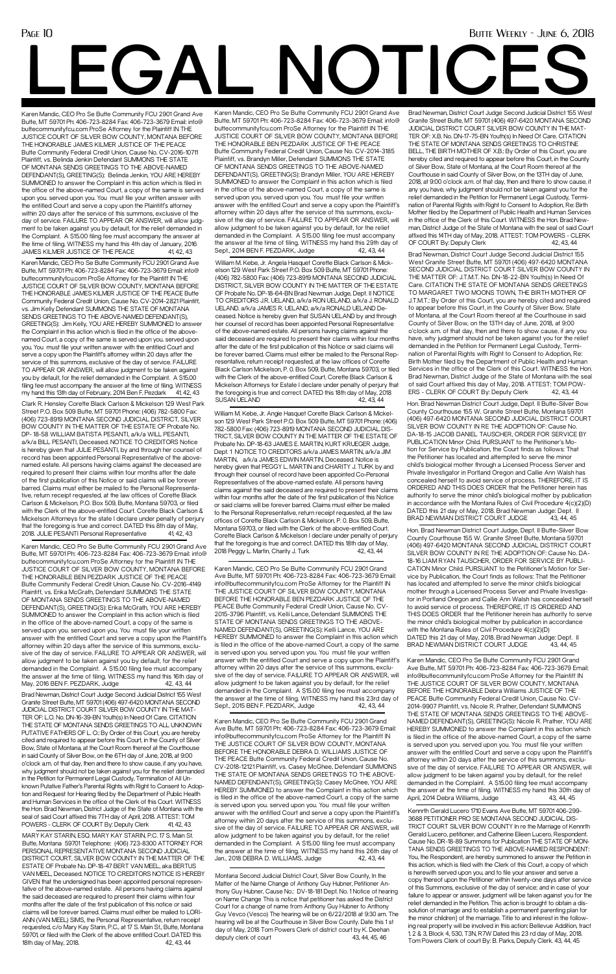Karen Mandic, CEO Pro Se Butte Community FCU 2901 Grand Ave Butte, MT 59701 Ph: 406-723-8284 Fax: 406-723-3679 Email: info@ buttecommunityfcu.com ProSe Attorney for the Plaintiff IN THE JUSTICE COURT OF SILVER BOW COUNTY, MONTANA BEFORE THE HONORABLE JAMES KILMER JUSTICE OF THE PEACE Butte Community Federal Credit Union, Cause No. CV-2016-10711 Plaintiff, vs. Belinda Jenkin Defendant SUMMONS THE STATE OF MONTANA SENDS GREETINGS TO THE ABOVE-NAMED DEFENDANT(S), GREETING(S): Belinda Jenkin, YOU ARE HEREBY SUMMONED to answer the Complaint in this action which is filed in the office of the above-named Court, a copy of the same is served upon you. served upon you. You must file your written answer with the entitled Court and serve a copy upon the Plaintiff's attorney within 20 days after the service of this summons, exclusive of the day of service. FAILURE TO APPEAR OR ANSWER, will allow judgment to be taken against you by default, for the relief demanded in the Complaint. A \$15.00 filing fee must accompany the answer at the time of filing. WITNESS my hand this 4th day of January, 2016 JAMES KILMER JUSTICE OF THE PEACE 41, 42, 43

## **LGAL NOTICE**

Karen Mandic, CEO Pro Se Butte Community FCU 2901 Grand Ave Butte, MT 59701 Ph: 406-723-8284 Fax: 406-723-3679 Email: info@ buttecommunityfcu.com ProSe Attorney for the Plaintiff IN THE JUSTICE COURT OF SILVER BOW COUNTY, MONTANA BEFORE THE HONORABLE JAMES KILMER JUSTICE OF THE PEACE Butte Community Federal Credit Union, Cause No. CV-2014-2821 Plaintiff, vs. Jim Kelly Defendant SUMMONS THE STATE OF MONTANA SENDS GREETINGS TO THE ABOVE-NAMED DEFENDANT(S), GREETING(S): Jim Kelly, YOU ARE HEREBY SUMMONED to answer the Complaint in this action which is filed in the office of the abovenamed Court, a copy of the same is served upon you. served upon you. You must file your written answer with the entitled Court and serve a copy upon the Plaintiff's attorney within 20 days after the service of this summons, exclusive of the day of service. FAILURE TO APPEAR OR ANSWER, will allow judgment to be taken against you by default, for the relief demanded in the Complaint. A \$15.00 filing fee must accompany the answer at the time of filing. WITNESS my hand this 13th day of February, 2014 Ben F. Pezdark 41, 42, 43

Clark R. Hensley Corette Black Carlson & Mickelson 129 West Park Street P.O. Box 509 Butte, MT 59701 Phone: (406) 782-5800 Fax: (406) 723-8919 MONTANA SECOND JUDICIAL DISTRICT, SILVER BOW COUNTY IN THE MATTER OF THE ESTATE OF Probate No. DP- 18-58 WILLIAM BATISTA PESANTI, a/k/a WILL PESANTI, a/k/a BILL PESANTI, Deceased. NOTICE TO CREDITORS Notice is hereby given that JULIE PESANTI, by and through her counsel of record has been appointed Personal Representative of the abovenamed estate. All persons having claims against the deceased are required to present their claims within four months after the date of the first publication of this Notice or said claims will be forever barred. Claims must either be mailed to the Personal Representative, return receipt requested, at the law offices of Corette Black Carlson & Mickelson, P.O. Box 509, Butte, Montana 59703, or filed with the Clerk of the above-entitled Court. Corette Black Carlson & Mickelson Attorneys for the state I declare under penalty of perjury that the foregoing is true and correct. DATED this 8th day of May, 2018. JULIE PESANTI Personal Representative 41, 42, 43

Brad Newman, District Court Judge Second Judicial District 155 West Granite Street Butte, MT 59701 (406) 497-6420 MONTANA SECOND JUDICIAL DISTRICT COURT SILVER BOW COUNTY IN THE MAT-TER OF: L.O. No. DN-16-39-BN Youth(s) In Need Of Care. CITATION THE STATE OF MONTANA SENDS GREETINGS TO ALL UNKNOWN PUTATIVE FATHERS OF L. O.: By Order of this Court, you are hereby cited and required to appear before this Court, in the County of Silver Bow, State of Montana, at the Court Room thereof at the Courthouse in said County of Silver Bow, on the 6TH day of June, 2018, at 9:00 o'clock a.m. of that day, then and there to show cause, if any you have, why judgment should not be taken against you for the relief demanded in the Petition for Permanent Legal Custody, Termination of All Unknown Putative Father's Parental Rights with Right to Consent to Adoption and Request for Hearing filed by the Department of Public Health and Human Services in the office of the Clerk of this Court. WITNESS the Hon. Brad Newman, District Judge of the State of Montana with the seal of said Court affixed this 7TH day of April, 2018. ATTEST: TOM POWERS - CLERK OF COURT By: Deputy Clerk 41, 42, 43 MARY KAY STARIN, ESQ. MARY KAY STARIN, P.C. 17 S. Main St. Butte, Montana 59701 Telephone: (406) 723-8300 ATTORNEY FOR PERSONAL REPRESENTATIVE MONTANA SECOND JUDICIAL DISTRICT COURT, SILVER BOW COUNTY IN THE MATTER OF THE ESTATE OF Probate No. DP-18-47 BERT VAN MEEL, aka BERTUS VAN MEEL, Deceased. NOTICE TO CREDITORS NOTICE IS HEREBY GIVEN that the undersigned has been appointed personal representative of the above-named estate. All persons having claims against the said deceased are required to present their claims within four months after the date of the first publication of this notice or said claims will be forever barred. Claims must either be mailed to LORI-ANN (VAN MEEL) SIMS, the Personal Representative, return receipt requested, c/o Mary Kay Starin, P.C., at 17 S. Main St., Butte, Montana 59701, or filed with the Clerk of the above entitled Court. DATED this 18th day of May, 2018. 42, 43, 44

William M. Kebe, Jr. Angela Hasquet Corette Black Carlson & Mickelson 129 West Park Street P.O. Box 509 Butte, MT 59701 Phone: (406) 782-5800 Fax: (406) 723-8919 MONTANA SECOND JUDICIAL DISTRICT, SILVER BOW COUNTY IN THE MATTER OF THE ESTATE OF Probate No. DP-18-64-BN Brad Newman Judge, Dept. II NOTICE TO CREDITORS J.R. UELAND, a/k/a RON UELAND, a/k/a J. RONALD UELAND. a/k/a JAMES R. UELAND, a/k/a RONALD UELAND Deceased. Notice is hereby given that SUSAN UELAND by and through her counsel of record has been appointed Personal Representative of the above-named estate. All persons having claims against the said deceased are required to present their claims within four months after the date of the first publication of this Notice or said claims will be forever barred. Claims must either be mailed to the Personal Representative, return receipt requested, at the law offices of Corette Black Carlson Mickelson, P. 0. Box 509, Butte, Montana 59703, or tiled with the Clerk of the above-entitled Court, Corette Black Carlson & Mickelson Attorneys for Estate I declare under penalty of perjury that the foregoing is true and correct. DATED this 18th day of May, 2018 SUSAN UELAND 42, 43, 44

William M. Kebe, Jr. Angie Hasquet Corette Black Carlson & Mickelson 129 West Park Street P.O. Box 509 Butte, MT 59701 Phone: (406) 782-5800 Fax: (406) 723-8919 MONTANA SECOND JUDICIAL DIS-TRICT, SILVER BOW COUNTY IN THE MATTER OF THE ESTATE OF Probate No. DP-18-63 JAMES E. MARTIN, KURT KRUEGER Judge, Dept. 1 NOTICE TO CREDITORS a/k/a JAMES MARTIN, a/k/a JIM MARTIN, a/k/a JAMES EDWIN MARTIN, Deceased. Notice is hereby given that PEGGY L. MARTIN and CHARITY J. TURK by and through their counsel of record have been appointed Co-Personal Representatives of the above-named estate. All persons having claims against the said deceased are required to present their claims within four months after the date of the first publication of this Notice or said claims will be forever barred. Claims must either be mailed to the Personal Representative, return receipt requested, at the law offices of Corette Black Carlson & Mickelson, P. 0. Box 509, Butte, Montana 59703, or filed with the Clerk of the above-entitled Court. Corette Black Carlson & Mickelson I declare under penalty of perjury that the foregoing is true and correct. DATED this 18th day of May, 2018 Peggy L. Martin, Charity J. Turk 42, 43, 44

Karen Mandic, CEO Pro Se Butte Community FCU 2901 Grand Ave Butte, MT 59701 Ph: 406-723-8284 Fax: 406-723-3679 Email: info@buttecommunityfcu.com ProSe Attorney for the Plaintiff IN THE JUSTICE COURT OF SILVER BOW COUNTY, MONTANA BEFORE THE HONORABLE BEN PEZDARK JUSTICE OF THE PEACE Butte Community Federal Credit Union, Cause No. CV-2015-3796 Plaintiff, vs. Kelli Lance, Defendant SUMMONS THE STATE OF MONTANA SENDS GREETINGS TO THE ABOVE-NAMED DEFENDANT(S), GREETING(S): Kelli Lance, YOU ARE HEREBY SUMMONED to answer the Complaint in this action which is filed in the office of the above-named Court, a copy of the same is served upon you. served upon you. You must file your written answer with the entitled Court and serve a copy upon the Plaintiff's attorney within 20 days after the service of this summons, exclusive of the day of service. FAILURE TO APPEAR OR ANSWER, will allow judgment to be taken against you by default, for the relief demanded in the Complaint. A \$15.00 filing fee must accompany the answer at the time of filing. WITNESS my hand this 23rd day of Sept., 2015 BEN F. PEZDARK, Judge 42, 43, 44

Karen Mandic, CEO Pro Se Butte Community FCU 2901 Grand Ave Butte, MT 59701 Ph: 406-723-8284 Fax: 406-723-3679 Email: info@ buttecommunityfcu.com ProSe Attorney for the Plaintiff IN THE JUSTICE COURT OF SILVER BOW COUNTY, MONTANA BEFORE THE HONORABLE BEN PEZDARK JUSTICE OF THE PEACE Butte Community Federal Credit Union, Cause No. CV-2014-3185 Plaintiff, vs. Brandyn Miller, Defendant SUMMONS THE STATE OF MONTANA SENDS GREETINGS TO THE ABOVE-NAMED DEFENDANT(S), GREETING(S): Brandyn Miller, YOU ARE HEREBY SUMMONED to answer the Complaint in this action which is filed in the office of the above-named Court, a copy of the same is served upon you. served upon you. You must file your written answer with the entitled Court and serve a copy upon the Plaintiff's attorney within 20 days after the service of this summons, exclusive of the day of service. FAILURE TO APPEAR OR ANSWER, will allow judgment to be taken against you by default, for the relief demanded in the Complaint. A \$15.00 filing fee must accompany the answer at the time of filing. WITNESS my hand this 29th day of Sept., 2014 BEN F. PEZDARK, Judge 42, 43, 44

Montana Second Judicial District Court, Silver Bow County, In the Matter of the Name Change of Anthony Guy Hubner, Petitioner Anthony Guy Hubner, Cause No.: DV-18-181 Dept. No. 1 Notice of hearing on Name Change This is notice that petitioner has asked the District Court for a change of name from Anthony Guy Hubner to Anthony Guy Vevco (Vesco) The hearing will be on 6/22/2018 at 9:30 am. The hearing will be at the Courthouse in Silver Bow County. Date this 1 st day of May, 2018 Tom Powers Clerk of district court by K. Deehan deputy clerk of court 43, 44, 45, 46

Brad Newman, District Court Judge Second Judicial District 155 West Granite Street Butte, MT 59701 (406) 497-6420 MONTANA SECOND JUDICIAL DISTRICT COURT SILVER BOW COUNTY IN THE MAT-TER OF: X.B. No. DN-17-75-BN Youth(s) In Need Of Care. CITATION THE STATE OF MONTANA SENDS GREETINGS TO CHRISTINE BELL, THE BIRTH MOTHER OF X.B.: By Order of this Court, you are hereby cited and required to appear before this Court, in the County of Silver Bow, State of Montana, at the Court Room thereof at the Courthouse in said County of Silver Bow, on the 13TH day of June, 2018, at 9:00 o'clock a.m. of that day, then and there to show cause, if any you have, why judgment should not be taken against you for the relief demanded in the Petition for Permanent Legal Custody, Termination of Parental Rights with Right to Consent to Adoption, Re: Birth Mother filed by the Department of Public Health and Human Services in the office of the Clerk of this Court. WITNESS the Hon. Brad Newman, District Judge of the State of Montana with the seal of said Court affixed this 14TH day of May, 2018. ATTEST: TOM POWERS - CLERK OF COURT By: Deputy Clerk 42, 43, 44

Brad Newman, District Court Judge Second Judicial District 155 West Granite Street Butte, MT 59701 (406) 497-6420 MONTANA SECOND JUDICIAL DISTRICT COURT SILVER BOW COUNTY IN THE MATTER OF: J.T.M.T. No. DN-18-22-BN Youth(s) In Need Of Care. CITATION THE STATE OF MONTANA SENDS GREETINGS TO MARGARET TWO MOONS TOWN, THE BIRTH MOTHER OF J.T.M.T.: By Order of this Court, you are hereby cited and required to appear before this Court, in the County of Silver Bow, State of Montana, at the Court Room thereof at the Courthouse in said County of Silver Bow, on the 13TH day of June, 2018, at 9:00 o'clock a.m. of that day, then and there to show cause, if any you have, why judgment should not be taken against you for the relief demanded in the Petition for Permanent Legal Custody, Termination of Parental Rights with Right to Consent to Adoption, Re: Birth Mother filed by the Department of Public Health and Human Services in the office of the Clerk of this Court. WITNESS the Hon. Brad Newman, District Judge of the State of Montana with the seal of said Court affixed this day of May, 2018. ATTEST: TOM POW-ERS - CLERK OF COURT By: Deputy Clerk 42, 43, 44

Hon. Brad Newman District Court Judge, Dept. II Butte-Silver Bow County Courthouse 155 W. Granite Street Butte, Montana 59701 (406) 497-6420 MONTANA SECOND JUDICIAL DISTRICT COURT SILVER BOW COUNTY IN RE THE ADOPTION OF: Cause No. DA-18-15 JACOB DANIEL TAUSCHER, ORDER FOR SERVICE BY PUBLICATION Minor Child. PURSUANT to the Petitioner's Motion for Service by Publication, the Court finds as follows: That the Petitioner has located and attempted to serve the minor child's biological mother through a Licensed Process Server and Private Investigator in Portland Oregon and Callie Ann Walsh has concealed herself to avoid service of process. THEREFORE, IT IS ORDERED AND THIS DOES ORDER that the Petitioner herein has authority to serve the minor child's biological mother by publication in accordance with the Montana Rules of Civil Procedure 4(c)(2)(D) DATED this 21 day of May, 2018. Brad Newman Judge: Dept. II BRAD NEWMAN DISTRICT COURT JUDGE 43, 44, 45

Hon. Brad Newman District Court Judge, Dept. II Butte-Silver Bow County Courthouse 155 W. Granite Street Butte, Montana 59701 (406) 497-6420 MONTANA SECOND JUDICIAL DISTRICT COURT SILVER BOW COUNTY IN RE THE ADOPTION OF: Cause No. DA-18-16 LIAM RYAN TAUSCHER, ORDER FOR SERVICE BY PUBLI-CATION Minor Child. PURSUANT to the Petitioner's Motion for Service by Publication, the Court finds as follows: That the Petitioner has located and attempted to serve the minor child's biological mother through a Licensed Process Server and Private Investigator in Portland Oregon and Callie Ann Walsh has concealed herself to avoid service of process. THEREFORE, IT IS ORDERED AND THIS DOES ORDER that the Petitioner herein has authority to serve the minor child's biological mother by publication in accordance with the Montana Rules of Civil Procedure 4(c)(2)(D) DATED this 21 day of May, 2018. Brad Newman Judge: Dept. II BRAD NEWMAN DISTRICT COURT JUDGE 43, 44, 45

Kennrth Gerald Lucero 1710 Evans Ave Butte, MT 59701 406-299- 3688 PETITIONER PRO SE MONTANA SECOND JUDICIAL DIS-TRICT COURT SILVER BOW COUNTY In re the Marriage of Kennrth Gerald Lucero, petitioner, and Catherine Eileen Lucero, Respondent. Cause No. DR-18-89 Summons for Publication THE STATE OF MON-TANA SENDS GREETINGS TO THE ABOVE-NAMED RESPONDENT: You, the Respondent, are hereby summoned to answer the Petition in this action, which is filed with the Clerk of this Court, a copy of which is herewith served upon you, and to file your answer and serve a copy thereof upon the Petitioner within twenty-one days after service of this Summons, exclusive of the day of service; and in case of your failure to appear or answer, judgment will be taken against you for the relief demanded in the Petition. This action is brought to obtain a dissolution of marriage and to establish a permanent parenting plan for the minor children} of the marriage. Title to and interest in the following real property will be involved in this action: Bellevue Addition, tract 1, 2 & 3, Block 4, 530, T3N, R7W Dated this 23 rd day of May, 2018. Tom Powers Clerk of court By: B. Parks, Deputy Clerk. 43, 44, 45 Karen Mandic, CEO Pro Se Butte Community FCU 2901 Grand Ave Butte, MT 59701 Ph: 406-723-8284 Fax: 406-723-3679 Email: info@buttecommunityfcu.com ProSe Attorney for the Plaintiff IN THE JUSTICE COURT OF SILVER BOW COUNTY, MONTANA BEFORE THE HONORABLE Debra Williams JUSTICE OF THE PEACE Butte Community Federal Credit Union, Cause No. CV-2014-9907 Plaintiff, vs. Nicole R. Prather, Defendant SUMMONS THE STATE OF MONTANA SENDS GREETINGS TO THE ABOVE NAMED DEFENDANT(S), GREETING(S): Nicole R. Prather, YOU ARE HEREBY SUMMONED to answer the Complaint in this action which is filed in the office of the above-named Court, a copy of the same is served upon you. served upon you. You must file your written answer with the entitled Court and serve a copy upon the Plaintiff's attorney within 20 days after the service of this summons, exclusive of the day of service. FAILURE TO APPEAR OR ANSWER, will allow judgment to be taken against you by default, for the relief demanded in the Complaint. A \$15.00 filing fee must accompany the answer at the time of filing. WITNESS my hand this 30th day of April, 2014 Debra Williams, Judge 43, 44, 45

Karen Mandic, CEO Pro Se Butte Community FCU 2901 Grand Ave Butte, MT 59701 Ph: 406-723-8284 Fax: 406-723-3679 Email: info@buttecommunityfcu.com ProSe Attorney for the Plaintiff IN THE JUSTICE COURT OF SILVER BOW COUNTY, MONTANA BEFORE THE HONORABLE DEBRA D. WILLIAMS JUSTICE OF THE PEACE Butte Community Federal Credit Union, Cause No. CV-2018-12121 Plaintiff, vs. Casey McGhee, Defendant SUMMONS THE STATE OF MONTANA SENDS GREETINGS TO THE ABOVE-NAMED DEFENDANT(S), GREETING(S): Casey McGhee, YOU ARE HEREBY SUMMONED to answer the Complaint in this action which is filed in the office of the above-named Court, a copy of the same is served upon you. served upon you. You must file your written answer with the entitled Court and serve a copy upon the Plaintiff's attorney within 20 days after the service of this summons, exclusive of the day of service. FAILURE TO APPEAR OR ANSWER, will allow judgment to be taken against you by default, for the relief demanded in the Complaint. A \$15.00 filing fee must accompany the answer at the time of filing. WITNESS my hand this 26th day of Jan., 2018 DEBRA D. WILLIAMS, Judge 42, 43, 44

Karen Mandic, CEO Pro Se Butte Community FCU 2901 Grand Ave Butte, MT 59701 Ph: 406-723-8284 Fax: 406-723-3679 Email: info@ buttecommunityfcu.com ProSe Attorney for the Plaintiff IN THE JUSTICE COURT OF SILVER BOW COUNTY, MONTANA BEFORE THE HONORABLE BEN PEZDARK JUSTICE OF THE PEACE Butte Community Federal Credit Union, Cause No. CV-2016-4149 Plaintiff, vs. Erika McGrath, Defendant SUMMONS THE STATE OF MONTANA SENDS GREETINGS TO THE ABOVE-NAMED DEFENDANT(S), GREETING(S): Erika McGrath, YOU ARE HEREBY SUMMONED to answer the Complaint in this action which is filed in the office of the above-named Court, a copy of the same is served upon you. served upon you. You must file your written answer with the entitled Court and serve a copy upon the Plaintiff's attorney within 20 days after the service of this summons, exclusive of the day of service. FAILURE TO APPEAR OR ANSWER, will allow judgment to be taken against you by default, for the relief demanded in the Complaint. A \$15.00 filing fee must accompany the answer at the time of filing. WITNESS my hand this 16th day of May, 2016 BEN F. PEZDARK, Judge 42, 43, 44